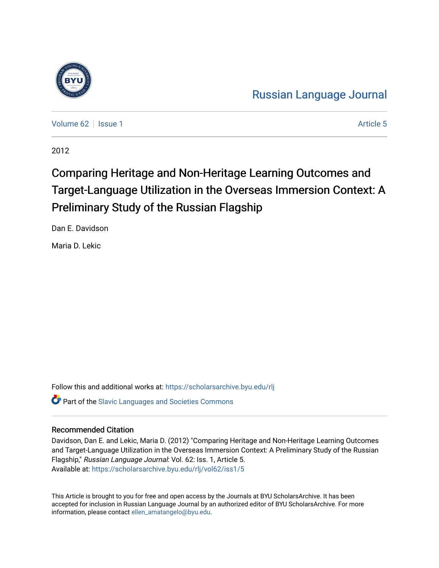

[Russian Language Journal](https://scholarsarchive.byu.edu/rlj) 

[Volume 62](https://scholarsarchive.byu.edu/rlj/vol62) | [Issue 1](https://scholarsarchive.byu.edu/rlj/vol62/iss1) Article 5

2012

# Comparing Heritage and Non-Heritage Learning Outcomes and Target-Language Utilization in the Overseas Immersion Context: A Preliminary Study of the Russian Flagship

Dan E. Davidson

Maria D. Lekic

Follow this and additional works at: [https://scholarsarchive.byu.edu/rlj](https://scholarsarchive.byu.edu/rlj?utm_source=scholarsarchive.byu.edu%2Frlj%2Fvol62%2Fiss1%2F5&utm_medium=PDF&utm_campaign=PDFCoverPages) **Part of the Slavic Languages and Societies Commons** 

#### Recommended Citation

Davidson, Dan E. and Lekic, Maria D. (2012) "Comparing Heritage and Non-Heritage Learning Outcomes and Target-Language Utilization in the Overseas Immersion Context: A Preliminary Study of the Russian Flagship," Russian Language Journal: Vol. 62: Iss. 1, Article 5. Available at: [https://scholarsarchive.byu.edu/rlj/vol62/iss1/5](https://scholarsarchive.byu.edu/rlj/vol62/iss1/5?utm_source=scholarsarchive.byu.edu%2Frlj%2Fvol62%2Fiss1%2F5&utm_medium=PDF&utm_campaign=PDFCoverPages) 

This Article is brought to you for free and open access by the Journals at BYU ScholarsArchive. It has been accepted for inclusion in Russian Language Journal by an authorized editor of BYU ScholarsArchive. For more information, please contact [ellen\\_amatangelo@byu.edu.](mailto:ellen_amatangelo@byu.edu)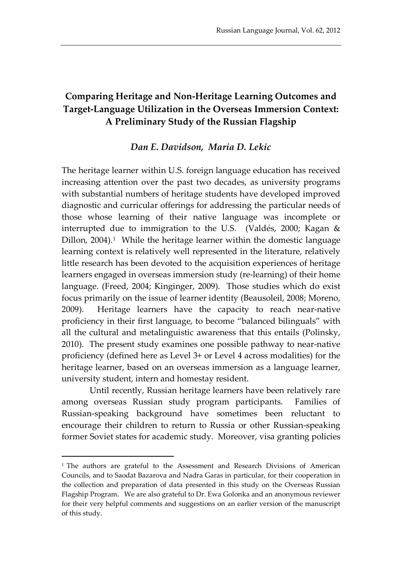### **Comparing Heritage and Non-Heritage Learning Outcomes and Target-Language Utilization in the Overseas Immersion Context: A Preliminary Study of the Russian Flagship**

#### *Dan E. Davidson, Maria D. Lekic*

The heritage learner within U.S. foreign language education has received increasing attention over the past two decades, as university programs with substantial numbers of heritage students have developed improved diagnostic and curricular offerings for addressing the particular needs of those whose learning of their native language was incomplete or interrupted due to immigration to the U.S. (Valdés, 2000; Kagan & Dillon,  $2004$ ).<sup>[1](#page-1-0)</sup> While the heritage learner within the domestic language learning context is relatively well represented in the literature, relatively little research has been devoted to the acquisition experiences of heritage learners engaged in overseas immersion study (re-learning) of their home language. (Freed, 2004; Kinginger, 2009). Those studies which do exist focus primarily on the issue of learner identity (Beausoleil, 2008; Moreno, 2009). Heritage learners have the capacity to reach near-native proficiency in their first language, to become "balanced bilinguals" with all the cultural and metalinguistic awareness that this entails (Polinsky, 2010). The present study examines one possible pathway to near-native proficiency (defined here as Level 3+ or Level 4 across modalities) for the heritage learner, based on an overseas immersion as a language learner, university student, intern and homestay resident.

Until recently, Russian heritage learners have been relatively rare among overseas Russian study program participants. Families of Russian-speaking background have sometimes been reluctant to encourage their children to return to Russia or other Russian-speaking former Soviet states for academic study. Moreover, visa granting policies

-

<span id="page-1-0"></span><sup>&</sup>lt;sup>1</sup> The authors are grateful to the Assessment and Research Divisions of American Councils, and to Saodat Bazarova and Nadra Garas in particular, for their cooperation in the collection and preparation of data presented in this study on the Overseas Russian Flagship Program. We are also grateful to Dr. Ewa Golonka and an anonymous reviewer for their very helpful comments and suggestions on an earlier version of the manuscript of this study.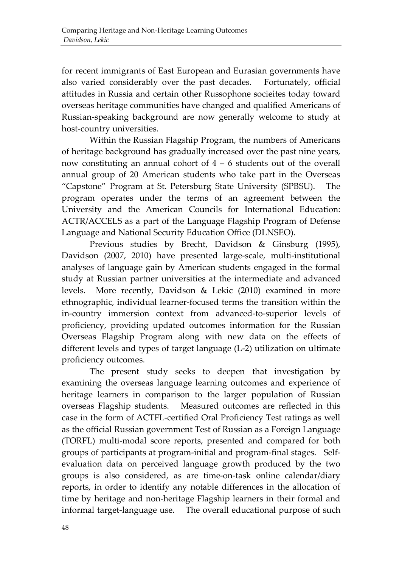for recent immigrants of East European and Eurasian governments have also varied considerably over the past decades. Fortunately, official attitudes in Russia and certain other Russophone socieites today toward overseas heritage communities have changed and qualified Americans of Russian-speaking background are now generally welcome to study at host-country universities.

Within the Russian Flagship Program, the numbers of Americans of heritage background has gradually increased over the past nine years, now constituting an annual cohort of  $4 - 6$  students out of the overall annual group of 20 American students who take part in the Overseas "Capstone" Program at St. Petersburg State University (SPBSU). The program operates under the terms of an agreement between the University and the American Councils for International Education: ACTR/ACCELS as a part of the Language Flagship Program of Defense Language and National Security Education Office (DLNSEO).

Previous studies by Brecht, Davidson & Ginsburg (1995), Davidson (2007, 2010) have presented large-scale, multi-institutional analyses of language gain by American students engaged in the formal study at Russian partner universities at the intermediate and advanced levels. More recently, Davidson & Lekic (2010) examined in more ethnographic, individual learner-focused terms the transition within the in-country immersion context from advanced-to-superior levels of proficiency, providing updated outcomes information for the Russian Overseas Flagship Program along with new data on the effects of different levels and types of target language (L-2) utilization on ultimate proficiency outcomes.

The present study seeks to deepen that investigation by examining the overseas language learning outcomes and experience of heritage learners in comparison to the larger population of Russian overseas Flagship students. Measured outcomes are reflected in this case in the form of ACTFL-certified Oral Proficiency Test ratings as well as the official Russian government Test of Russian as a Foreign Language (TORFL) multi-modal score reports, presented and compared for both groups of participants at program-initial and program-final stages. Selfevaluation data on perceived language growth produced by the two groups is also considered, as are time-on-task online calendar/diary reports, in order to identify any notable differences in the allocation of time by heritage and non-heritage Flagship learners in their formal and informal target-language use. The overall educational purpose of such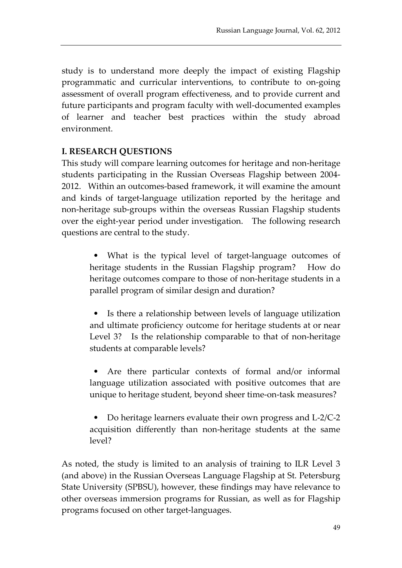study is to understand more deeply the impact of existing Flagship programmatic and curricular interventions, to contribute to on-going assessment of overall program effectiveness, and to provide current and future participants and program faculty with well-documented examples of learner and teacher best practices within the study abroad environment.

#### **I. RESEARCH QUESTIONS**

This study will compare learning outcomes for heritage and non-heritage students participating in the Russian Overseas Flagship between 2004- 2012. Within an outcomes-based framework, it will examine the amount and kinds of target-language utilization reported by the heritage and non-heritage sub-groups within the overseas Russian Flagship students over the eight-year period under investigation. The following research questions are central to the study.

• What is the typical level of target-language outcomes of heritage students in the Russian Flagship program? How do heritage outcomes compare to those of non-heritage students in a parallel program of similar design and duration?

• Is there a relationship between levels of language utilization and ultimate proficiency outcome for heritage students at or near Level 3? Is the relationship comparable to that of non-heritage students at comparable levels?

Are there particular contexts of formal and/or informal language utilization associated with positive outcomes that are unique to heritage student, beyond sheer time-on-task measures?

• Do heritage learners evaluate their own progress and L-2/C-2 acquisition differently than non-heritage students at the same level?

As noted, the study is limited to an analysis of training to ILR Level 3 (and above) in the Russian Overseas Language Flagship at St. Petersburg State University (SPBSU), however, these findings may have relevance to other overseas immersion programs for Russian, as well as for Flagship programs focused on other target-languages.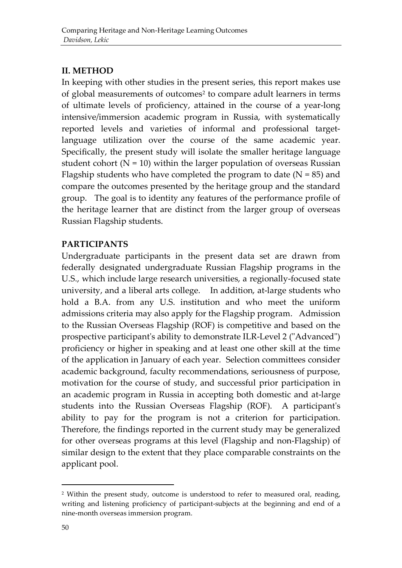#### **II. METHOD**

In keeping with other studies in the present series, this report makes use of global measurements of outcomes<sup>[2](#page-4-0)</sup> to compare adult learners in terms of ultimate levels of proficiency, attained in the course of a year-long intensive/immersion academic program in Russia, with systematically reported levels and varieties of informal and professional targetlanguage utilization over the course of the same academic year. Specifically, the present study will isolate the smaller heritage language student cohort  $(N = 10)$  within the larger population of overseas Russian Flagship students who have completed the program to date  $(N = 85)$  and compare the outcomes presented by the heritage group and the standard group. The goal is to identity any features of the performance profile of the heritage learner that are distinct from the larger group of overseas Russian Flagship students.

#### **PARTICIPANTS**

Undergraduate participants in the present data set are drawn from federally designated undergraduate Russian Flagship programs in the U.S., which include large research universities, a regionally-focused state university, and a liberal arts college. In addition, at-large students who hold a B.A. from any U.S. institution and who meet the uniform admissions criteria may also apply for the Flagship program. Admission to the Russian Overseas Flagship (ROF) is competitive and based on the prospective participant's ability to demonstrate ILR-Level 2 ("Advanced") proficiency or higher in speaking and at least one other skill at the time of the application in January of each year. Selection committees consider academic background, faculty recommendations, seriousness of purpose, motivation for the course of study, and successful prior participation in an academic program in Russia in accepting both domestic and at-large students into the Russian Overseas Flagship (ROF). A participant's ability to pay for the program is not a criterion for participation. Therefore, the findings reported in the current study may be generalized for other overseas programs at this level (Flagship and non-Flagship) of similar design to the extent that they place comparable constraints on the applicant pool.

-

<span id="page-4-0"></span><sup>&</sup>lt;sup>2</sup> Within the present study, outcome is understood to refer to measured oral, reading, writing and listening proficiency of participant-subjects at the beginning and end of a nine-month overseas immersion program.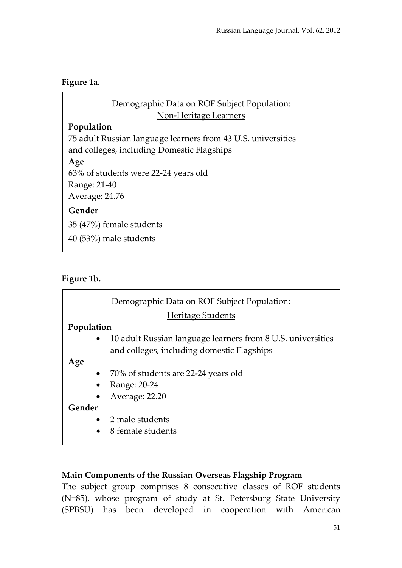#### **Figure 1a.**

| Demographic Data on ROF Subject Population:                  |
|--------------------------------------------------------------|
| Non-Heritage Learners                                        |
| Population                                                   |
| 75 adult Russian language learners from 43 U.S. universities |
| and colleges, including Domestic Flagships                   |
| Age                                                          |
| 63% of students were 22-24 years old                         |
| Range: 21-40                                                 |
| Average: 24.76                                               |
| Gender                                                       |
| 35 (47%) female students                                     |
| 40 (53%) male students                                       |
|                                                              |

#### **Figure 1b.**

|            | Demographic Data on ROF Subject Population:                 |
|------------|-------------------------------------------------------------|
|            | <b>Heritage Students</b>                                    |
| Population |                                                             |
| $\bullet$  | 10 adult Russian language learners from 8 U.S. universities |
|            | and colleges, including domestic Flagships                  |
| Age        |                                                             |
| $\bullet$  | 70% of students are 22-24 years old                         |
| $\bullet$  | Range: 20-24                                                |
| $\bullet$  | Average: 22.20                                              |
| Gender     |                                                             |
|            | • 2 male students                                           |
| $\bullet$  | 8 female students                                           |
|            |                                                             |

#### **Main Components of the Russian Overseas Flagship Program**

The subject group comprises 8 consecutive classes of ROF students (N=85), whose program of study at St. Petersburg State University (SPBSU) has been developed in cooperation with American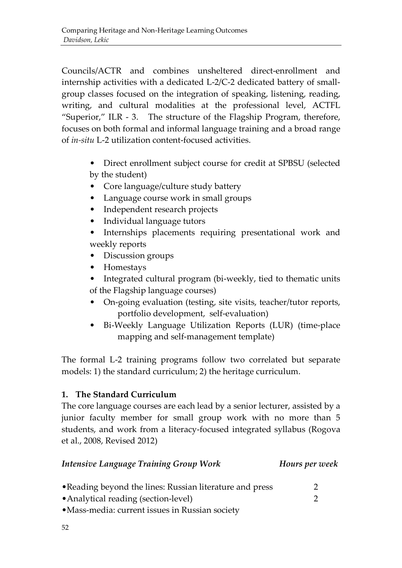Councils/ACTR and combines unsheltered direct-enrollment and internship activities with a dedicated L-2/C-2 dedicated battery of smallgroup classes focused on the integration of speaking, listening, reading, writing, and cultural modalities at the professional level, ACTFL "Superior," ILR - 3. The structure of the Flagship Program, therefore, focuses on both formal and informal language training and a broad range of *in-situ* L-2 utilization content-focused activities.

- Direct enrollment subject course for credit at SPBSU (selected by the student)
- Core language/culture study battery
- Language course work in small groups
- Independent research projects
- Individual language tutors
- Internships placements requiring presentational work and weekly reports
- Discussion groups
- Homestays
- Integrated cultural program (bi-weekly, tied to thematic units of the Flagship language courses)
- On-going evaluation (testing, site visits, teacher/tutor reports, portfolio development, self-evaluation)
- Bi-Weekly Language Utilization Reports (LUR) (time-place mapping and self-management template)

The formal L-2 training programs follow two correlated but separate models: 1) the standard curriculum; 2) the heritage curriculum.

#### **1. The Standard Curriculum**

The core language courses are each lead by a senior lecturer, assisted by a junior faculty member for small group work with no more than 5 students, and work from a literacy-focused integrated syllabus (Rogova et al., 2008, Revised 2012)

| <b>Intensive Language Training Group Work</b>            | Hours per week |
|----------------------------------------------------------|----------------|
| • Reading beyond the lines: Russian literature and press |                |
| • Analytical reading (section-level)                     |                |
| • Mass-media: current issues in Russian society          |                |
| 52                                                       |                |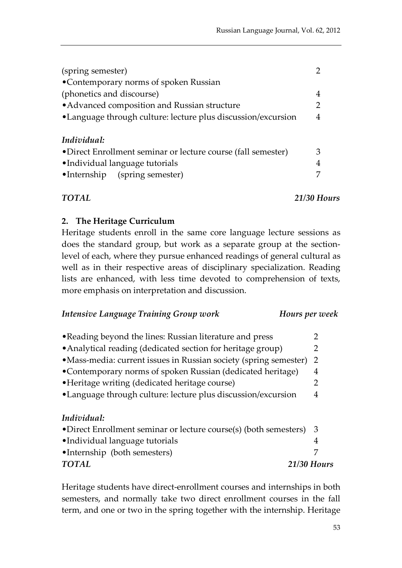| (spring semester)<br>•Contemporary norms of spoken Russian   |               |  |  |  |
|--------------------------------------------------------------|---------------|--|--|--|
| (phonetics and discourse)                                    | 4             |  |  |  |
| • Advanced composition and Russian structure                 | $\mathcal{P}$ |  |  |  |
| •Language through culture: lecture plus discussion/excursion |               |  |  |  |
| Individual:                                                  |               |  |  |  |
| •Direct Enrollment seminar or lecture course (fall semester) | З             |  |  |  |
| •Individual language tutorials                               | 4             |  |  |  |
| •Internship (spring semester)                                |               |  |  |  |

*TOTAL 21/30 Hours*

#### **2. The Heritage Curriculum**

Heritage students enroll in the same core language lecture sessions as does the standard group, but work as a separate group at the sectionlevel of each, where they pursue enhanced readings of general cultural as well as in their respective areas of disciplinary specialization. Reading lists are enhanced, with less time devoted to comprehension of texts, more emphasis on interpretation and discussion.

| <b>Intensive Language Training Group work</b> | Hours per week |
|-----------------------------------------------|----------------|
|                                               |                |

| • Reading beyond the lines: Russian literature and press          | 2  |
|-------------------------------------------------------------------|----|
| • Analytical reading (dedicated section for heritage group)       | 2  |
| • Mass-media: current issues in Russian society (spring semester) | -2 |
| •Contemporary norms of spoken Russian (dedicated heritage)        | 4  |
| • Heritage writing (dedicated heritage course)                    | 2  |
| •Language through culture: lecture plus discussion/excursion      | 4  |
|                                                                   |    |
| Individual:                                                       |    |
|                                                                   |    |
| •Direct Enrollment seminar or lecture course(s) (both semesters)  | 3  |
| •Individual language tutorials                                    | 4  |
| •Internship (both semesters)                                      | 7  |

Heritage students have direct-enrollment courses and internships in both semesters, and normally take two direct enrollment courses in the fall term, and one or two in the spring together with the internship. Heritage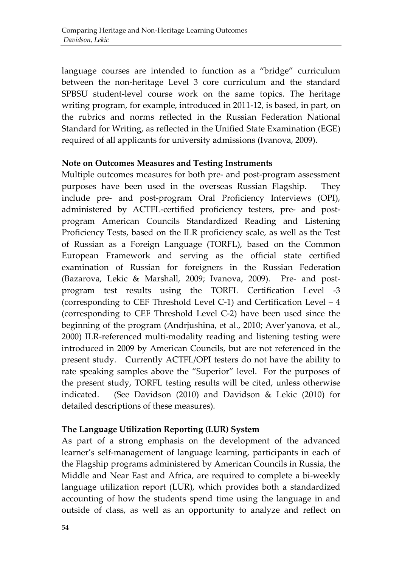language courses are intended to function as a "bridge" curriculum between the non-heritage Level 3 core curriculum and the standard SPBSU student-level course work on the same topics. The heritage writing program, for example, introduced in 2011-12, is based, in part, on the rubrics and norms reflected in the Russian Federation National Standard for Writing, as reflected in the Unified State Examination (EGE) required of all applicants for university admissions (Ivanova, 2009).

#### **Note on Outcomes Measures and Testing Instruments**

Multiple outcomes measures for both pre- and post-program assessment purposes have been used in the overseas Russian Flagship. They include pre- and post-program Oral Proficiency Interviews (OPI), administered by ACTFL-certified proficiency testers, pre- and postprogram American Councils Standardized Reading and Listening Proficiency Tests, based on the ILR proficiency scale, as well as the Test of Russian as a Foreign Language (TORFL), based on the Common European Framework and serving as the official state certified examination of Russian for foreigners in the Russian Federation (Bazarova, Lekic & Marshall, 2009; Ivanova, 2009). Pre- and postprogram test results using the TORFL Certification Level -3 (corresponding to CEF Threshold Level C-1) and Certification Level – 4 (corresponding to CEF Threshold Level C-2) have been used since the beginning of the program (Andrjushina, et al., 2010; Aver'yanova, et al., 2000) ILR-referenced multi-modality reading and listening testing were introduced in 2009 by American Councils, but are not referenced in the present study. Currently ACTFL/OPI testers do not have the ability to rate speaking samples above the "Superior" level. For the purposes of the present study, TORFL testing results will be cited, unless otherwise indicated. (See Davidson (2010) and Davidson & Lekic (2010) for detailed descriptions of these measures).

#### **The Language Utilization Reporting (LUR) System**

As part of a strong emphasis on the development of the advanced learner's self-management of language learning, participants in each of the Flagship programs administered by American Councils in Russia, the Middle and Near East and Africa, are required to complete a bi-weekly language utilization report (LUR), which provides both a standardized accounting of how the students spend time using the language in and outside of class, as well as an opportunity to analyze and reflect on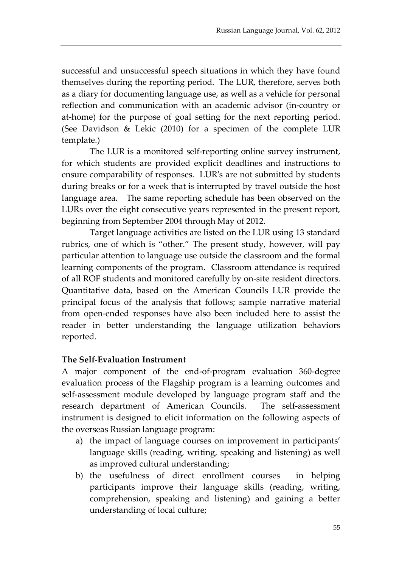successful and unsuccessful speech situations in which they have found themselves during the reporting period. The LUR, therefore, serves both as a diary for documenting language use, as well as a vehicle for personal reflection and communication with an academic advisor (in-country or at-home) for the purpose of goal setting for the next reporting period. (See Davidson & Lekic (2010) for a specimen of the complete LUR template.)

The LUR is a monitored self-reporting online survey instrument, for which students are provided explicit deadlines and instructions to ensure comparability of responses. LUR's are not submitted by students during breaks or for a week that is interrupted by travel outside the host language area. The same reporting schedule has been observed on the LURs over the eight consecutive years represented in the present report, beginning from September 2004 through May of 2012.

Target language activities are listed on the LUR using 13 standard rubrics, one of which is "other." The present study, however, will pay particular attention to language use outside the classroom and the formal learning components of the program. Classroom attendance is required of all ROF students and monitored carefully by on-site resident directors. Quantitative data, based on the American Councils LUR provide the principal focus of the analysis that follows; sample narrative material from open-ended responses have also been included here to assist the reader in better understanding the language utilization behaviors reported.

#### **The Self-Evaluation Instrument**

A major component of the end-of-program evaluation 360-degree evaluation process of the Flagship program is a learning outcomes and self-assessment module developed by language program staff and the research department of American Councils. The self-assessment instrument is designed to elicit information on the following aspects of the overseas Russian language program:

- a) the impact of language courses on improvement in participants' language skills (reading, writing, speaking and listening) as well as improved cultural understanding;
- b) the usefulness of direct enrollment courses in helping participants improve their language skills (reading, writing, comprehension, speaking and listening) and gaining a better understanding of local culture;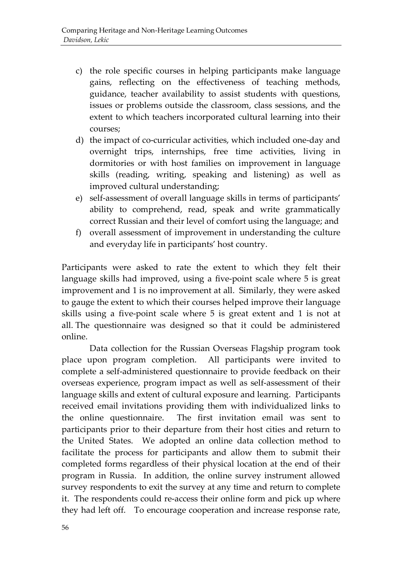- c) the role specific courses in helping participants make language gains, reflecting on the effectiveness of teaching methods, guidance, teacher availability to assist students with questions, issues or problems outside the classroom, class sessions, and the extent to which teachers incorporated cultural learning into their courses;
- d) the impact of co-curricular activities, which included one-day and overnight trips, internships, free time activities, living in dormitories or with host families on improvement in language skills (reading, writing, speaking and listening) as well as improved cultural understanding;
- e) self-assessment of overall language skills in terms of participants' ability to comprehend, read, speak and write grammatically correct Russian and their level of comfort using the language; and
- f) overall assessment of improvement in understanding the culture and everyday life in participants' host country.

Participants were asked to rate the extent to which they felt their language skills had improved, using a five-point scale where 5 is great improvement and 1 is no improvement at all. Similarly, they were asked to gauge the extent to which their courses helped improve their language skills using a five-point scale where 5 is great extent and 1 is not at all. The questionnaire was designed so that it could be administered online.

Data collection for the Russian Overseas Flagship program took place upon program completion. All participants were invited to complete a self-administered questionnaire to provide feedback on their overseas experience, program impact as well as self-assessment of their language skills and extent of cultural exposure and learning. Participants received email invitations providing them with individualized links to the online questionnaire. The first invitation email was sent to participants prior to their departure from their host cities and return to the United States. We adopted an online data collection method to facilitate the process for participants and allow them to submit their completed forms regardless of their physical location at the end of their program in Russia. In addition, the online survey instrument allowed survey respondents to exit the survey at any time and return to complete it. The respondents could re-access their online form and pick up where they had left off. To encourage cooperation and increase response rate,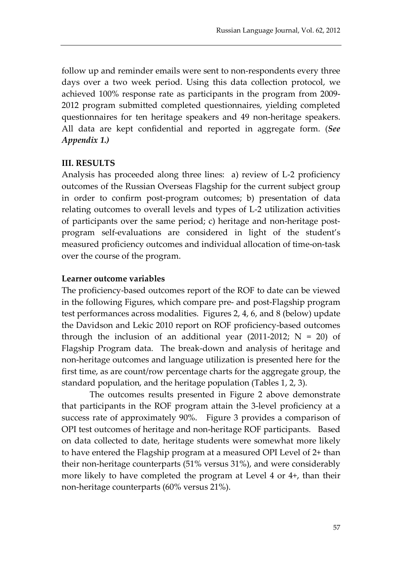follow up and reminder emails were sent to non-respondents every three days over a two week period. Using this data collection protocol, we achieved 100% response rate as participants in the program from 2009- 2012 program submitted completed questionnaires, yielding completed questionnaires for ten heritage speakers and 49 non-heritage speakers. All data are kept confidential and reported in aggregate form. (*See Appendix 1.)*

#### **III. RESULTS**

Analysis has proceeded along three lines: a) review of L-2 proficiency outcomes of the Russian Overseas Flagship for the current subject group in order to confirm post-program outcomes; b) presentation of data relating outcomes to overall levels and types of L-2 utilization activities of participants over the same period; c) heritage and non-heritage postprogram self-evaluations are considered in light of the student's measured proficiency outcomes and individual allocation of time-on-task over the course of the program.

#### **Learner outcome variables**

The proficiency-based outcomes report of the ROF to date can be viewed in the following Figures, which compare pre- and post-Flagship program test performances across modalities. Figures 2, 4, 6, and 8 (below) update the Davidson and Lekic 2010 report on ROF proficiency-based outcomes through the inclusion of an additional year (2011-2012;  $N = 20$ ) of Flagship Program data. The break-down and analysis of heritage and non-heritage outcomes and language utilization is presented here for the first time, as are count/row percentage charts for the aggregate group, the standard population, and the heritage population (Tables 1, 2, 3).

The outcomes results presented in Figure 2 above demonstrate that participants in the ROF program attain the 3-level proficiency at a success rate of approximately 90%. Figure 3 provides a comparison of OPI test outcomes of heritage and non-heritage ROF participants. Based on data collected to date, heritage students were somewhat more likely to have entered the Flagship program at a measured OPI Level of 2+ than their non-heritage counterparts (51% versus 31%), and were considerably more likely to have completed the program at Level 4 or 4+, than their non-heritage counterparts (60% versus 21%).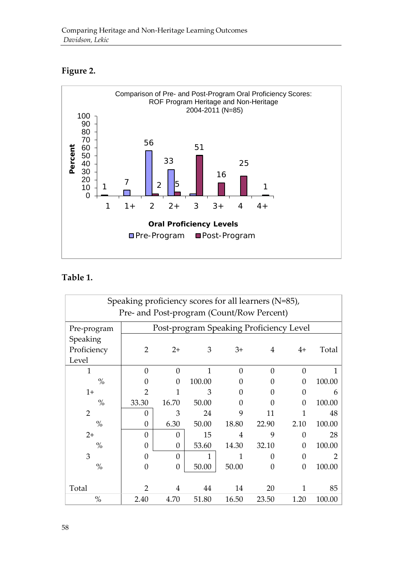#### **Figure 2.**



#### **Table 1.**

| Speaking proficiency scores for all learners (N=85), |                                           |          |                                         |          |          |          |        |  |
|------------------------------------------------------|-------------------------------------------|----------|-----------------------------------------|----------|----------|----------|--------|--|
|                                                      | Pre- and Post-program (Count/Row Percent) |          |                                         |          |          |          |        |  |
| Pre-program                                          |                                           |          | Post-program Speaking Proficiency Level |          |          |          |        |  |
| Speaking                                             |                                           |          |                                         |          |          |          |        |  |
| Proficiency                                          | 2                                         | $2+$     | 3                                       | $3+$     | 4        | $4+$     | Total  |  |
| Level                                                |                                           |          |                                         |          |          |          |        |  |
| 1                                                    | $\Omega$                                  | $\Omega$ | 1                                       | $\Omega$ | $\Omega$ | $\Omega$ |        |  |
| $\%$                                                 | 0                                         | 0        | 100.00                                  |          | 0        | 0        | 100.00 |  |
| $1+$                                                 | 2                                         |          | З                                       |          | 0        | 0        | h      |  |
| $\%$                                                 | 33.30                                     | 16.70    | 50.00                                   | 0        | 0        | $\Omega$ | 100.00 |  |
| $\overline{2}$                                       | $\Omega$                                  | 3        | 24                                      | 9        | 11       | 1        | 48     |  |
| $\%$                                                 | $\boldsymbol{0}$                          | 6.30     | 50.00                                   | 18.80    | 22.90    | 2.10     | 100.00 |  |
| $2+$                                                 | $\Omega$                                  | $\Omega$ | 15                                      | 4        | 9        | $\Omega$ | 28     |  |
| $\%$                                                 | $\Omega$                                  | $\theta$ | 53.60                                   | 14.30    | 32.10    | 0        | 100.00 |  |
| 3                                                    | $\Omega$                                  | $\Omega$ | 1                                       |          | $\theta$ | 0        |        |  |
| $\%$                                                 | 0                                         | $\Omega$ | 50.00                                   | 50.00    | $\theta$ | $\theta$ | 100.00 |  |
|                                                      |                                           |          |                                         |          |          |          |        |  |
| Total                                                | $\mathfrak{p}$                            | 4        | 44                                      | 14       | 20       |          | 85     |  |
| $\%$                                                 | 2.40                                      | 4.70     | 51.80                                   | 16.50    | 23.50    | 1.20     | 100.00 |  |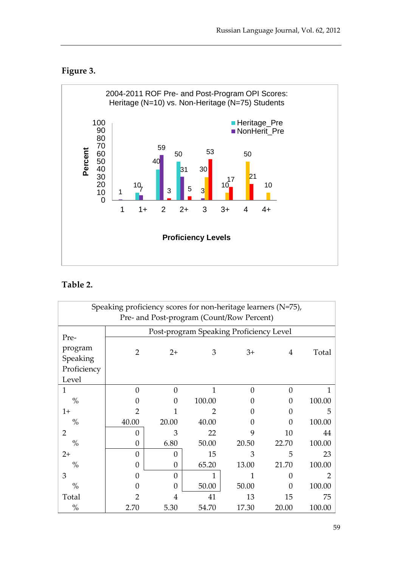### **Figure 3.**



#### **Table 2.**

| Speaking proficiency scores for non-heritage learners (N=75), |                |          |                                         |          |          |        |  |
|---------------------------------------------------------------|----------------|----------|-----------------------------------------|----------|----------|--------|--|
| Pre- and Post-program (Count/Row Percent)                     |                |          |                                         |          |          |        |  |
| Pre-                                                          |                |          | Post-program Speaking Proficiency Level |          |          |        |  |
| program<br>Speaking                                           | $\overline{2}$ | $2+$     | 3                                       | $3+$     | 4        | Total  |  |
| Proficiency                                                   |                |          |                                         |          |          |        |  |
| Level                                                         |                |          |                                         |          |          |        |  |
| 1                                                             | $\Omega$       | $\Omega$ | 1                                       | $\theta$ | $\theta$ |        |  |
| $\%$                                                          | 0              | 0        | 100.00                                  | 0        | $\Omega$ | 100.00 |  |
| $1+$                                                          | 2              |          | 2                                       | O        | $\theta$ | 5      |  |
| $\%$                                                          | 40.00          | 20.00    | 40.00                                   | 0        | $\theta$ | 100.00 |  |
| $\overline{2}$                                                | $\theta$       | 3        | 22                                      | 9        | 10       | 44     |  |
| $\%$                                                          | $\theta$       | 6.80     | 50.00                                   | 20.50    | 22.70    | 100.00 |  |
| $2+$                                                          | $\Omega$       | 0        | 15                                      | 3        | 5        | 23     |  |
| $\%$                                                          | $\Omega$       | 0        | 65.20                                   | 13.00    | 21.70    | 100.00 |  |
| 3                                                             | $\Omega$       | $\theta$ | 1                                       | 1        | $\theta$ |        |  |
| $\%$                                                          | O              | $\Omega$ | 50.00                                   | 50.00    | $\Omega$ | 100.00 |  |
| Total                                                         |                | 4        | 41                                      | 13       | 15       | 75     |  |
| $\%$                                                          | 2.70           | 5.30     | 54.70                                   | 17.30    | 20.00    | 100.00 |  |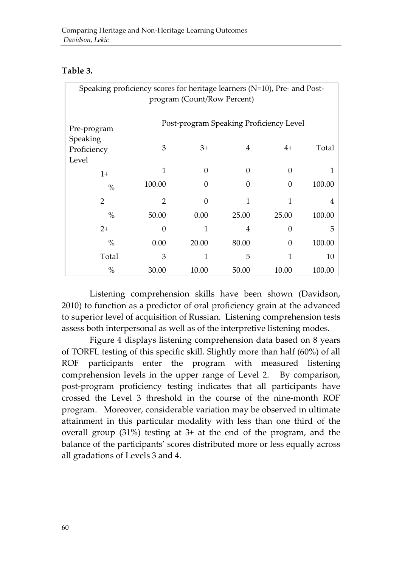#### **Table 3.**

| Speaking proficiency scores for heritage learners (N=10), Pre- and Post-<br>program (Count/Row Percent) |                |                |       |                                         |        |  |  |
|---------------------------------------------------------------------------------------------------------|----------------|----------------|-------|-----------------------------------------|--------|--|--|
|                                                                                                         |                |                |       |                                         |        |  |  |
| Pre-program                                                                                             |                |                |       | Post-program Speaking Proficiency Level |        |  |  |
| Speaking<br>Proficiency                                                                                 | 3              | $3+$           | 4     | $4+$                                    | Total  |  |  |
| Level<br>$1+$                                                                                           | 1              | $\overline{0}$ | 0     | $\theta$                                |        |  |  |
| $\%$                                                                                                    | 100.00         | $\overline{0}$ | 0     | $\theta$                                | 100.00 |  |  |
| $\overline{2}$                                                                                          | $\overline{2}$ | $\theta$       | 1     | 1                                       | 4      |  |  |
| $\%$                                                                                                    | 50.00          | 0.00           | 25.00 | 25.00                                   | 100.00 |  |  |
| $2+$                                                                                                    | 0              | 1              | 4     | $\Omega$                                | 5      |  |  |
| $\%$                                                                                                    | 0.00           | 20.00          | 80.00 | $\theta$                                | 100.00 |  |  |
| Total                                                                                                   | 3              | 1              | 5     | 1                                       | 10     |  |  |
| $\%$                                                                                                    | 30.00          | 10.00          | 50.00 | 10.00                                   | 100.00 |  |  |

Listening comprehension skills have been shown (Davidson, 2010) to function as a predictor of oral proficiency grain at the advanced to superior level of acquisition of Russian. Listening comprehension tests assess both interpersonal as well as of the interpretive listening modes.

Figure 4 displays listening comprehension data based on 8 years of TORFL testing of this specific skill. Slightly more than half (60%) of all ROF participants enter the program with measured listening comprehension levels in the upper range of Level 2. By comparison, post-program proficiency testing indicates that all participants have crossed the Level 3 threshold in the course of the nine-month ROF program. Moreover, considerable variation may be observed in ultimate attainment in this particular modality with less than one third of the overall group (31%) testing at 3+ at the end of the program, and the balance of the participants' scores distributed more or less equally across all gradations of Levels 3 and 4.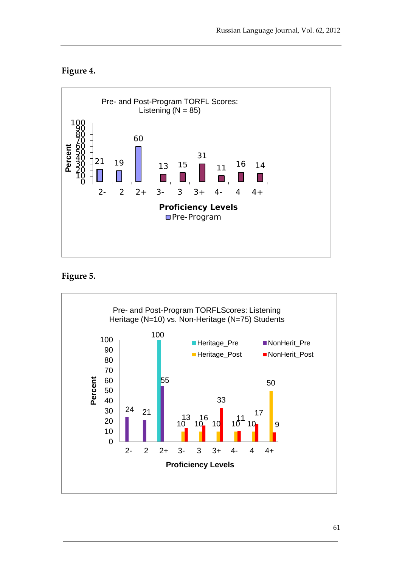#### **Figure 4.**



#### **Figure 5.**

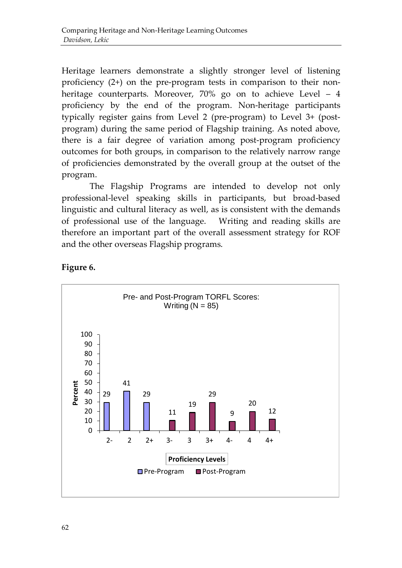Heritage learners demonstrate a slightly stronger level of listening proficiency (2+) on the pre-program tests in comparison to their nonheritage counterparts. Moreover, 70% go on to achieve Level – 4 proficiency by the end of the program. Non-heritage participants typically register gains from Level 2 (pre-program) to Level 3+ (postprogram) during the same period of Flagship training. As noted above, there is a fair degree of variation among post-program proficiency outcomes for both groups, in comparison to the relatively narrow range of proficiencies demonstrated by the overall group at the outset of the program.

The Flagship Programs are intended to develop not only professional-level speaking skills in participants, but broad-based linguistic and cultural literacy as well, as is consistent with the demands of professional use of the language. Writing and reading skills are therefore an important part of the overall assessment strategy for ROF and the other overseas Flagship programs.



#### **Figure 6.**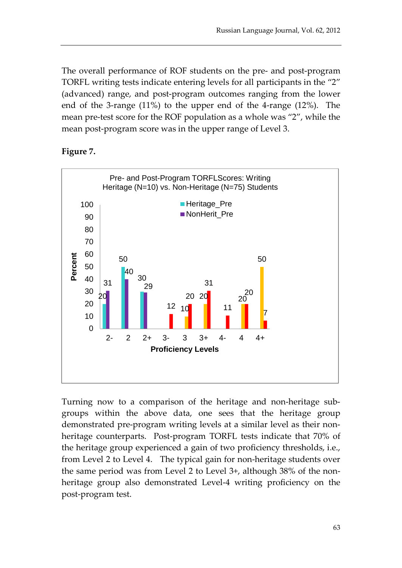The overall performance of ROF students on the pre- and post-program TORFL writing tests indicate entering levels for all participants in the "2" (advanced) range, and post-program outcomes ranging from the lower end of the 3-range (11%) to the upper end of the 4-range (12%). The mean pre-test score for the ROF population as a whole was "2", while the mean post-program score was in the upper range of Level 3.

#### **Figure 7.**



Turning now to a comparison of the heritage and non-heritage subgroups within the above data, one sees that the heritage group demonstrated pre-program writing levels at a similar level as their nonheritage counterparts. Post-program TORFL tests indicate that 70% of the heritage group experienced a gain of two proficiency thresholds, i.e., from Level 2 to Level 4. The typical gain for non-heritage students over the same period was from Level 2 to Level 3+, although 38% of the nonheritage group also demonstrated Level-4 writing proficiency on the post-program test.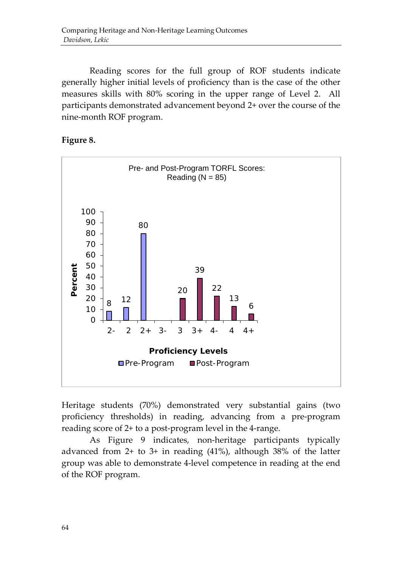Reading scores for the full group of ROF students indicate generally higher initial levels of proficiency than is the case of the other measures skills with 80% scoring in the upper range of Level 2. All participants demonstrated advancement beyond 2+ over the course of the nine-month ROF program.



#### **Figure 8.**

Heritage students (70%) demonstrated very substantial gains (two proficiency thresholds) in reading, advancing from a pre-program reading score of 2+ to a post-program level in the 4-range.

As Figure 9 indicates, non-heritage participants typically advanced from 2+ to 3+ in reading (41%), although 38% of the latter group was able to demonstrate 4-level competence in reading at the end of the ROF program.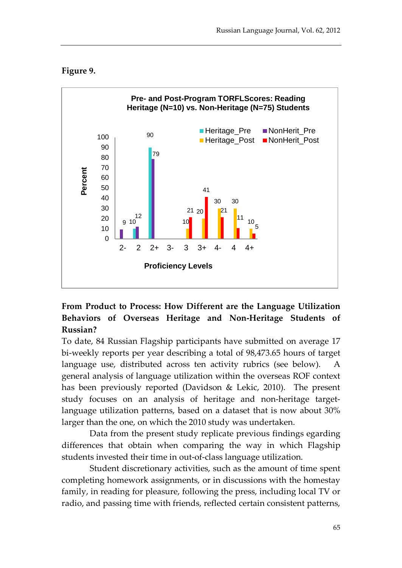#### **Figure 9.**



#### **From Product to Process: How Different are the Language Utilization Behaviors of Overseas Heritage and Non-Heritage Students of Russian?**

To date, 84 Russian Flagship participants have submitted on average 17 bi-weekly reports per year describing a total of 98,473.65 hours of target language use, distributed across ten activity rubrics (see below). A general analysis of language utilization within the overseas ROF context has been previously reported (Davidson & Lekic, 2010). The present study focuses on an analysis of heritage and non-heritage targetlanguage utilization patterns, based on a dataset that is now about 30% larger than the one, on which the 2010 study was undertaken.

Data from the present study replicate previous findings egarding differences that obtain when comparing the way in which Flagship students invested their time in out-of-class language utilization.

Student discretionary activities, such as the amount of time spent completing homework assignments, or in discussions with the homestay family, in reading for pleasure, following the press, including local TV or radio, and passing time with friends, reflected certain consistent patterns,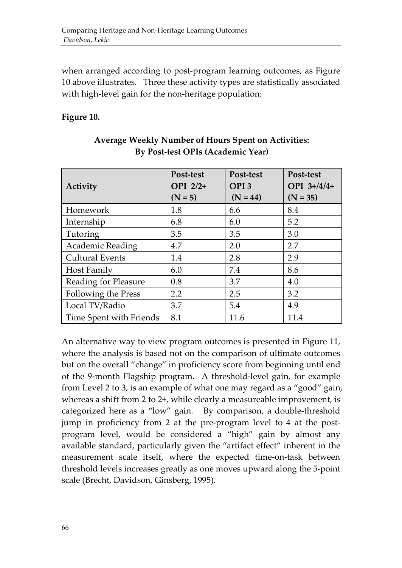when arranged according to post-program learning outcomes, as Figure 10 above illustrates. Three these activity types are statistically associated with high-level gain for the non-heritage population:

#### **Figure 10.**

| Activity                | Post-test<br>OPI 2/2+<br>$(N = 5)$ | Post-test<br>OPI <sub>3</sub><br>$(N = 44)$ | Post-test<br>OPI 3+/4/4+<br>$(N = 35)$ |
|-------------------------|------------------------------------|---------------------------------------------|----------------------------------------|
| Homework                | 1.8                                | 6.6                                         | 8.4                                    |
| Internship              | 6.8                                | 6.0                                         | 5.2                                    |
| Tutoring                | 3.5                                | 3.5                                         | 3.0                                    |
| <b>Academic Reading</b> | 4.7                                | 2.0                                         | 2.7                                    |
| <b>Cultural Events</b>  | 1.4                                | 2.8                                         | 2.9                                    |
| Host Family             | 6.0                                | 7.4                                         | 8.6                                    |
| Reading for Pleasure    | 0.8                                | 3.7                                         | 4.0                                    |
| Following the Press     | 2.2                                | 2.5                                         | 3.2                                    |
| Local TV/Radio          | 3.7                                | 5.4                                         | 4.9                                    |
| Time Spent with Friends | 8.1                                | 11.6                                        | 11.4                                   |

#### **Average Weekly Number of Hours Spent on Activities: By Post-test OPIs (Academic Year)**

An alternative way to view program outcomes is presented in Figure 11, where the analysis is based not on the comparison of ultimate outcomes but on the overall "change" in proficiency score from beginning until end of the 9-month Flagship program. A threshold-level gain, for example from Level 2 to 3, is an example of what one may regard as a "good" gain, whereas a shift from 2 to 2+, while clearly a measureable improvement, is categorized here as a "low" gain. By comparison, a double-threshold jump in proficiency from 2 at the pre-program level to 4 at the postprogram level, would be considered a "high" gain by almost any available standard, particularly given the "artifact effect" inherent in the measurement scale itself, where the expected time-on-task between threshold levels increases greatly as one moves upward along the 5-point scale (Brecht, Davidson, Ginsberg, 1995).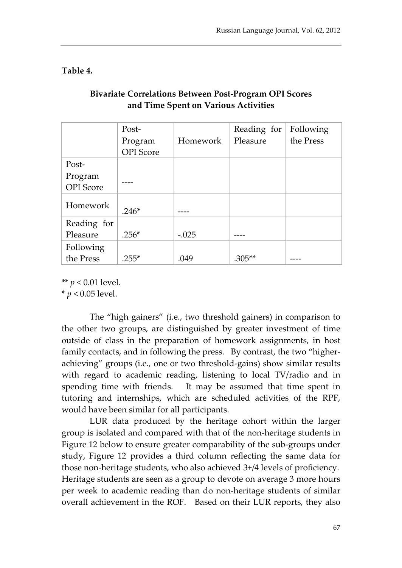**Table 4.**

|                  | Post-            |          | Reading for | Following |
|------------------|------------------|----------|-------------|-----------|
|                  | Program          | Homework | Pleasure    | the Press |
|                  | <b>OPI</b> Score |          |             |           |
| Post-            |                  |          |             |           |
| Program          |                  |          |             |           |
| <b>OPI</b> Score |                  |          |             |           |
| Homework         | $.246*$          |          |             |           |
| Reading for      |                  |          |             |           |
| Pleasure         | $.256*$          | $-.025$  |             |           |
| Following        |                  |          |             |           |
| the Press        | $.255*$          | .049     | $.305**$    |           |

#### **Bivariate Correlations Between Post-Program OPI Scores and Time Spent on Various Activities**

\*\* *p* < 0.01 level.

\* *p* < 0.05 level.

The "high gainers" (i.e., two threshold gainers) in comparison to the other two groups, are distinguished by greater investment of time outside of class in the preparation of homework assignments, in host family contacts, and in following the press. By contrast, the two "higherachieving" groups (i.e., one or two threshold-gains) show similar results with regard to academic reading, listening to local TV/radio and in spending time with friends. It may be assumed that time spent in tutoring and internships, which are scheduled activities of the RPF, would have been similar for all participants.

LUR data produced by the heritage cohort within the larger group is isolated and compared with that of the non-heritage students in Figure 12 below to ensure greater comparability of the sub-groups under study, Figure 12 provides a third column reflecting the same data for those non-heritage students, who also achieved 3+/4 levels of proficiency. Heritage students are seen as a group to devote on average 3 more hours per week to academic reading than do non-heritage students of similar overall achievement in the ROF. Based on their LUR reports, they also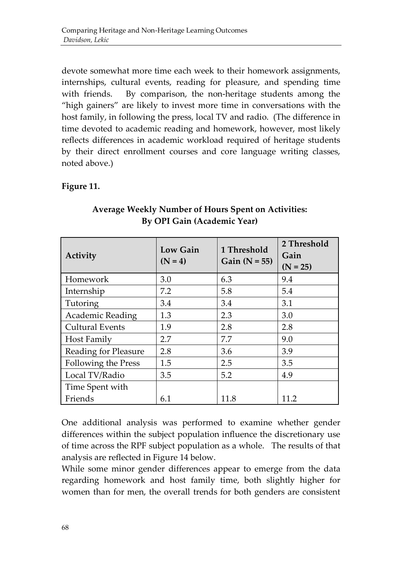devote somewhat more time each week to their homework assignments, internships, cultural events, reading for pleasure, and spending time with friends. By comparison, the non-heritage students among the "high gainers" are likely to invest more time in conversations with the host family, in following the press, local TV and radio. (The difference in time devoted to academic reading and homework, however, most likely reflects differences in academic workload required of heritage students by their direct enrollment courses and core language writing classes, noted above.)

#### **Figure 11.**

| Activity               | <b>Low Gain</b><br>$(N = 4)$ | 1 Threshold<br>Gain $(N = 55)$ | 2 Threshold<br>Gain<br>$(N = 25)$ |
|------------------------|------------------------------|--------------------------------|-----------------------------------|
| Homework               | 3.0                          | 6.3                            | 9.4                               |
| Internship             | 7.2                          | 5.8                            | 5.4                               |
| Tutoring               | 3.4                          | 3.4                            | 3.1                               |
| Academic Reading       | 1.3                          | 2.3                            | 3.0                               |
| <b>Cultural Events</b> | 1.9                          | 2.8                            | 2.8                               |
| Host Family            | 2.7                          | 7.7                            | 9.0                               |
| Reading for Pleasure   | 2.8                          | 3.6                            | 3.9                               |
| Following the Press    | 1.5                          | 2.5                            | 3.5                               |
| Local TV/Radio         | 3.5                          | 5.2                            | 4.9                               |
| Time Spent with        |                              |                                |                                   |
| Friends                | 6.1                          | 11.8                           | 11.2                              |

**Average Weekly Number of Hours Spent on Activities: By OPI Gain (Academic Year)**

One additional analysis was performed to examine whether gender differences within the subject population influence the discretionary use of time across the RPF subject population as a whole. The results of that analysis are reflected in Figure 14 below.

While some minor gender differences appear to emerge from the data regarding homework and host family time, both slightly higher for women than for men, the overall trends for both genders are consistent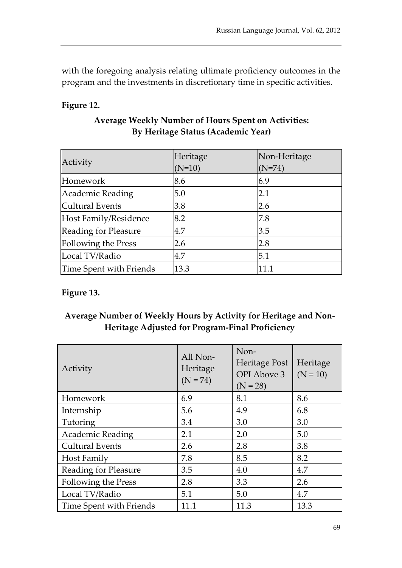with the foregoing analysis relating ultimate proficiency outcomes in the program and the investments in discretionary time in specific activities.

#### **Figure 12.**

| Activity                   | Heritage<br>$(N=10)$ | Non-Heritage<br>$(N=74)$ |
|----------------------------|----------------------|--------------------------|
| Homework                   | 8.6                  | 6.9                      |
| Academic Reading           | 5.0                  | 2.1                      |
| <b>Cultural Events</b>     | 3.8                  | 2.6                      |
| Host Family/Residence      | 8.2                  | 7.8                      |
| Reading for Pleasure       | 4.7                  | 3.5                      |
| <b>Following the Press</b> | 2.6                  | 2.8                      |
| Local TV/Radio             | 4.7                  | 5.1                      |
| Time Spent with Friends    | 13.3                 | 11.1                     |

#### **Average Weekly Number of Hours Spent on Activities: By Heritage Status (Academic Year)**

#### **Figure 13.**

#### **Average Number of Weekly Hours by Activity for Heritage and Non-Heritage Adjusted for Program-Final Proficiency**

| Activity                | All Non-<br>Heritage<br>$(N = 74)$ | Non-<br>Heritage Post<br>OPI Above 3<br>$(N = 28)$ | Heritage<br>$(N = 10)$ |
|-------------------------|------------------------------------|----------------------------------------------------|------------------------|
| Homework                | 6.9                                | 8.1                                                | 8.6                    |
| Internship              | 5.6                                | 4.9                                                | 6.8                    |
| Tutoring                | 3.4                                | 3.0                                                | 3.0                    |
| Academic Reading        | 2.1                                | 2.0                                                | 5.0                    |
| <b>Cultural Events</b>  | 2.6                                | 2.8                                                | 3.8                    |
| Host Family             | 7.8                                | 8.5                                                | 8.2                    |
| Reading for Pleasure    | 3.5                                | 4.0                                                | 4.7                    |
| Following the Press     | 2.8                                | 3.3                                                | 2.6                    |
| Local TV/Radio          | 5.1                                | 5.0                                                | 4.7                    |
| Time Spent with Friends | 11.1                               | 11.3                                               | 13.3                   |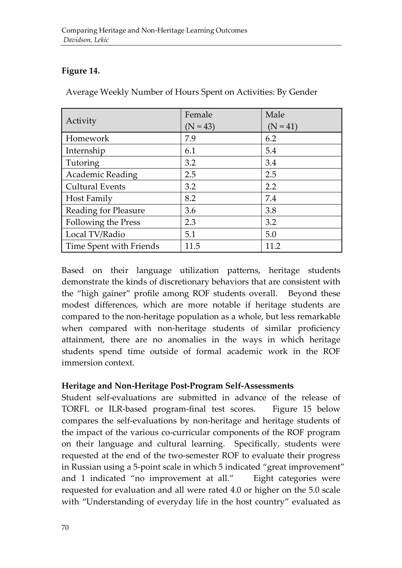#### **Figure 14.**

Average Weekly Number of Hours Spent on Activities: By Gender

| Activity                | Female     | Male       |  |
|-------------------------|------------|------------|--|
|                         | $(N = 43)$ | $(N = 41)$ |  |
| Homework                | 7.9        | 6.2        |  |
| Internship              | 6.1        | 5.4        |  |
| Tutoring                | 3.2        | 3.4        |  |
| <b>Academic Reading</b> | 2.5        | 2.5        |  |
| <b>Cultural Events</b>  | 3.2        | 2.2        |  |
| Host Family             | 8.2        | 7.4        |  |
| Reading for Pleasure    | 3.6        | 3.8        |  |
| Following the Press     | 2.3        | 3.2        |  |
| Local TV/Radio          | 5.1        | 5.0        |  |
| Time Spent with Friends | 11.5       | 11.2       |  |

Based on their language utilization patterns, heritage students demonstrate the kinds of discretionary behaviors that are consistent with the "high gainer" profile among ROF students overall. Beyond these modest differences, which are more notable if heritage students are compared to the non-heritage population as a whole, but less remarkable when compared with non-heritage students of similar proficiency attainment, there are no anomalies in the ways in which heritage students spend time outside of formal academic work in the ROF immersion context.

#### **Heritage and Non-Heritage Post-Program Self-Assessments**

Student self-evaluations are submitted in advance of the release of TORFL or ILR-based program-final test scores. Figure 15 below compares the self-evaluations by non-heritage and heritage students of the impact of the various co-curricular components of the ROF program on their language and cultural learning. Specifically, students were requested at the end of the two-semester ROF to evaluate their progress in Russian using a 5-point scale in which 5 indicated "great improvement" and 1 indicated "no improvement at all." Eight categories were requested for evaluation and all were rated 4.0 or higher on the 5.0 scale with "Understanding of everyday life in the host country" evaluated as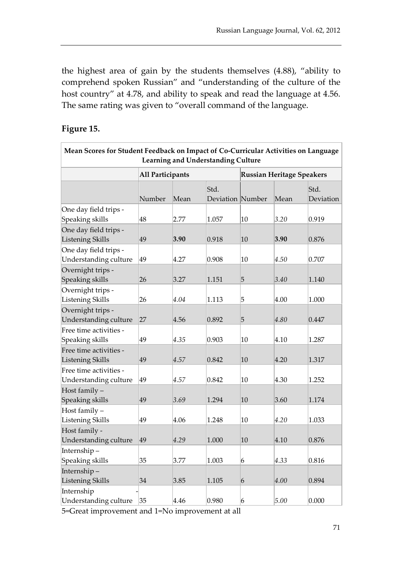the highest area of gain by the students themselves (4.88), "ability to comprehend spoken Russian" and "understanding of the culture of the host country" at 4.78, and ability to speak and read the language at 4.56. The same rating was given to "overall command of the language.

#### **Figure 15.**

| Learning and Understanding Culture                |                         |      |                          |                                  |      |                   |  |
|---------------------------------------------------|-------------------------|------|--------------------------|----------------------------------|------|-------------------|--|
|                                                   | <b>All Participants</b> |      |                          | <b>Russian Heritage Speakers</b> |      |                   |  |
|                                                   | Number                  | Mean | Std.<br>Deviation Number |                                  | Mean | Std.<br>Deviation |  |
| One day field trips -<br>Speaking skills          | 48                      | 2.77 | 1.057                    | 10                               | 3.20 | 0.919             |  |
| One day field trips -<br><b>Listening Skills</b>  | 49                      | 3.90 | 0.918                    | 10                               | 3.90 | 0.876             |  |
| One day field trips -<br>Understanding culture    | 49                      | 4.27 | 0.908                    | 10                               | 4.50 | 0.707             |  |
| Overnight trips -<br>Speaking skills              | 26                      | 3.27 | 1.151                    | 5                                | 3.40 | 1.140             |  |
| Overnight trips -<br>Listening Skills             | 26                      | 4.04 | 1.113                    | 5                                | 4.00 | 1.000             |  |
| Overnight trips -<br>Understanding culture        | 27                      | 4.56 | 0.892                    | $\overline{5}$                   | 4.80 | 0.447             |  |
| Free time activities -<br>Speaking skills         | 49                      | 4.35 | 0.903                    | 10                               | 4.10 | 1.287             |  |
| Free time activities -<br><b>Listening Skills</b> | 49                      | 4.57 | 0.842                    | 10                               | 4.20 | 1.317             |  |
| Free time activities -<br>Understanding culture   | 49                      | 4.57 | 0.842                    | 10                               | 4.30 | 1.252             |  |
| Host family -<br>Speaking skills                  | 49                      | 3.69 | 1.294                    | 10                               | 3.60 | 1.174             |  |
| Host family -<br>Listening Skills                 | 49                      | 4.06 | 1.248                    | 10                               | 4.20 | 1.033             |  |
| Host family -<br>Understanding culture            | 49                      | 4.29 | 1.000                    | 10                               | 4.10 | 0.876             |  |
| Internship-<br>Speaking skills                    | 35                      | 3.77 | 1.003                    | 6                                | 4.33 | 0.816             |  |
| Internship-<br><b>Listening Skills</b>            | 34                      | 3.85 | 1.105                    | 6                                | 4.00 | 0.894             |  |
| Internship<br>Understanding culture               | 35                      | 4.46 | 0.980                    | 6                                | 5.00 | 0.000             |  |

**Mean Scores for Student Feedback on Impact of Co-Curricular Activities on Language** 

5=Great improvement and 1=No improvement at all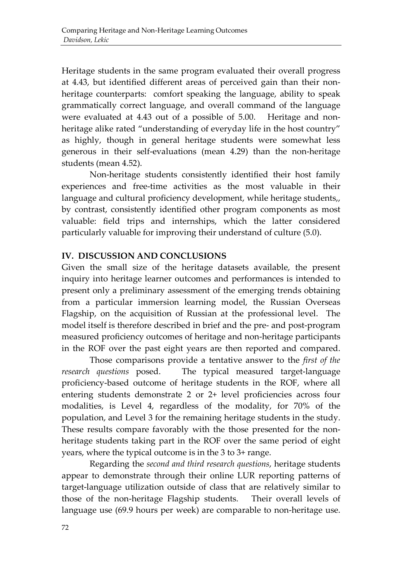Heritage students in the same program evaluated their overall progress at 4.43, but identified different areas of perceived gain than their nonheritage counterparts: comfort speaking the language, ability to speak grammatically correct language, and overall command of the language were evaluated at 4.43 out of a possible of 5.00. Heritage and nonheritage alike rated "understanding of everyday life in the host country" as highly, though in general heritage students were somewhat less generous in their self-evaluations (mean 4.29) than the non-heritage students (mean 4.52).

Non-heritage students consistently identified their host family experiences and free-time activities as the most valuable in their language and cultural proficiency development, while heritage students, by contrast, consistently identified other program components as most valuable: field trips and internships, which the latter considered particularly valuable for improving their understand of culture (5.0).

#### **IV. DISCUSSION AND CONCLUSIONS**

Given the small size of the heritage datasets available, the present inquiry into heritage learner outcomes and performances is intended to present only a preliminary assessment of the emerging trends obtaining from a particular immersion learning model, the Russian Overseas Flagship, on the acquisition of Russian at the professional level. The model itself is therefore described in brief and the pre- and post-program measured proficiency outcomes of heritage and non-heritage participants in the ROF over the past eight years are then reported and compared.

Those comparisons provide a tentative answer to the *first of the research questions* posed. The typical measured target-language proficiency-based outcome of heritage students in the ROF, where all entering students demonstrate 2 or 2+ level proficiencies across four modalities, is Level 4, regardless of the modality, for 70% of the population, and Level 3 for the remaining heritage students in the study. These results compare favorably with the those presented for the nonheritage students taking part in the ROF over the same period of eight years, where the typical outcome is in the 3 to 3+ range.

Regarding the *second and third research questions*, heritage students appear to demonstrate through their online LUR reporting patterns of target-language utilization outside of class that are relatively similar to those of the non-heritage Flagship students. Their overall levels of language use (69.9 hours per week) are comparable to non-heritage use.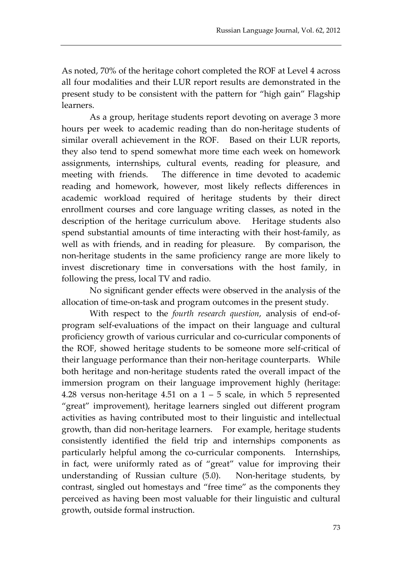As noted, 70% of the heritage cohort completed the ROF at Level 4 across all four modalities and their LUR report results are demonstrated in the present study to be consistent with the pattern for "high gain" Flagship learners.

As a group, heritage students report devoting on average 3 more hours per week to academic reading than do non-heritage students of similar overall achievement in the ROF. Based on their LUR reports, they also tend to spend somewhat more time each week on homework assignments, internships, cultural events, reading for pleasure, and meeting with friends. The difference in time devoted to academic reading and homework, however, most likely reflects differences in academic workload required of heritage students by their direct enrollment courses and core language writing classes, as noted in the description of the heritage curriculum above. Heritage students also spend substantial amounts of time interacting with their host-family, as well as with friends, and in reading for pleasure. By comparison, the non-heritage students in the same proficiency range are more likely to invest discretionary time in conversations with the host family, in following the press, local TV and radio.

No significant gender effects were observed in the analysis of the allocation of time-on-task and program outcomes in the present study.

With respect to the *fourth research question*, analysis of end-ofprogram self-evaluations of the impact on their language and cultural proficiency growth of various curricular and co-curricular components of the ROF, showed heritage students to be someone more self-critical of their language performance than their non-heritage counterparts. While both heritage and non-heritage students rated the overall impact of the immersion program on their language improvement highly (heritage: 4.28 versus non-heritage 4.51 on a  $1 - 5$  scale, in which 5 represented "great" improvement), heritage learners singled out different program activities as having contributed most to their linguistic and intellectual growth, than did non-heritage learners. For example, heritage students consistently identified the field trip and internships components as particularly helpful among the co-curricular components. Internships, in fact, were uniformly rated as of "great" value for improving their understanding of Russian culture (5.0). Non-heritage students, by contrast, singled out homestays and "free time" as the components they perceived as having been most valuable for their linguistic and cultural growth, outside formal instruction.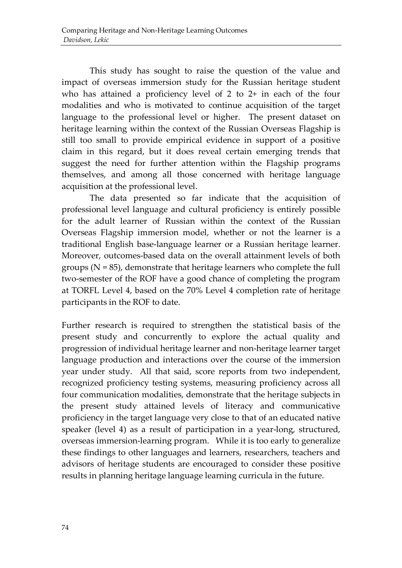This study has sought to raise the question of the value and impact of overseas immersion study for the Russian heritage student who has attained a proficiency level of 2 to 2+ in each of the four modalities and who is motivated to continue acquisition of the target language to the professional level or higher. The present dataset on heritage learning within the context of the Russian Overseas Flagship is still too small to provide empirical evidence in support of a positive claim in this regard, but it does reveal certain emerging trends that suggest the need for further attention within the Flagship programs themselves, and among all those concerned with heritage language acquisition at the professional level.

The data presented so far indicate that the acquisition of professional level language and cultural proficiency is entirely possible for the adult learner of Russian within the context of the Russian Overseas Flagship immersion model, whether or not the learner is a traditional English base-language learner or a Russian heritage learner. Moreover, outcomes-based data on the overall attainment levels of both groups  $(N = 85)$ , demonstrate that heritage learners who complete the full two-semester of the ROF have a good chance of completing the program at TORFL Level 4, based on the 70% Level 4 completion rate of heritage participants in the ROF to date.

Further research is required to strengthen the statistical basis of the present study and concurrently to explore the actual quality and progression of individual heritage learner and non-heritage learner target language production and interactions over the course of the immersion year under study. All that said, score reports from two independent, recognized proficiency testing systems, measuring proficiency across all four communication modalities, demonstrate that the heritage subjects in the present study attained levels of literacy and communicative proficiency in the target language very close to that of an educated native speaker (level 4) as a result of participation in a year-long, structured, overseas immersion-learning program. While it is too early to generalize these findings to other languages and learners, researchers, teachers and advisors of heritage students are encouraged to consider these positive results in planning heritage language learning curricula in the future.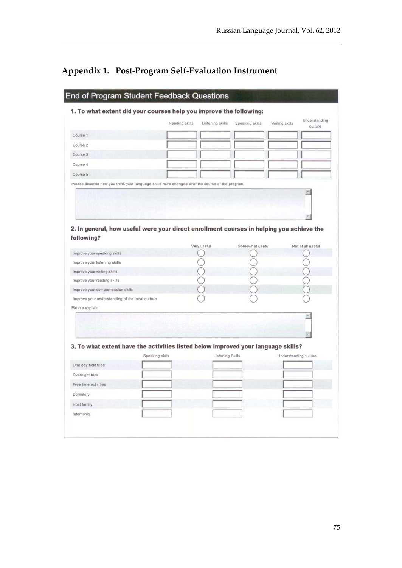## **Appendix 1. Post-Program Self-Evaluation Instrument**

|                                                                                                        | Reading skills  | Listening skills        | Speaking skills | Writing skills        | Understanding<br>culture |
|--------------------------------------------------------------------------------------------------------|-----------------|-------------------------|-----------------|-----------------------|--------------------------|
| Course 1                                                                                               |                 |                         |                 |                       |                          |
| Course 2                                                                                               |                 |                         |                 |                       |                          |
| Course 3                                                                                               |                 |                         |                 |                       |                          |
| Course 4                                                                                               |                 |                         |                 |                       |                          |
| Course 5                                                                                               |                 |                         |                 |                       |                          |
| Please describe how you think your language skills have changed over the course of the program.        |                 |                         |                 |                       |                          |
| 2. In general, how useful were your direct enrollment courses in helping you achieve the<br>following? |                 |                         |                 |                       |                          |
|                                                                                                        |                 | Very useful             | Somewhat useful |                       | Not at all useful        |
| Improve your speaking skills                                                                           |                 |                         |                 |                       |                          |
| Improve your listening skills                                                                          |                 |                         |                 |                       |                          |
| Improve your writing skills                                                                            |                 |                         |                 |                       |                          |
|                                                                                                        |                 |                         |                 |                       |                          |
| Improve your reading skills                                                                            |                 |                         |                 |                       |                          |
| Improve your comprehension skills                                                                      |                 |                         |                 |                       |                          |
| Improve your understanding of the local culture                                                        |                 |                         |                 |                       |                          |
| Please explain.                                                                                        |                 |                         |                 |                       |                          |
|                                                                                                        |                 |                         |                 |                       |                          |
|                                                                                                        |                 |                         |                 |                       |                          |
|                                                                                                        |                 |                         |                 |                       |                          |
| 3. To what extent have the activities listed below improved your language skills?                      |                 |                         |                 |                       |                          |
| One day field trips                                                                                    | Speaking skills | <b>Listening Skills</b> |                 | Understanding culture |                          |
| Overnight trips                                                                                        |                 |                         |                 |                       |                          |
| Free time activities                                                                                   |                 |                         |                 |                       |                          |
| Dormitory                                                                                              |                 |                         |                 |                       |                          |
| <b>Host family</b>                                                                                     |                 |                         |                 |                       |                          |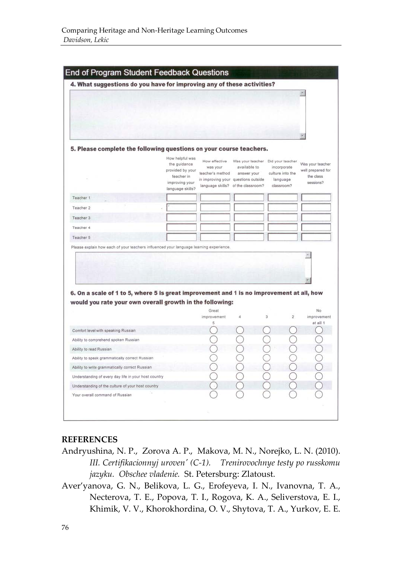| 4. What suggestions do you have for improving any of these activities?                                                                                                                                                                                                                                            |                                                                                                         |                                               |                                                                                                                                               |                                                           |                                                                 |
|-------------------------------------------------------------------------------------------------------------------------------------------------------------------------------------------------------------------------------------------------------------------------------------------------------------------|---------------------------------------------------------------------------------------------------------|-----------------------------------------------|-----------------------------------------------------------------------------------------------------------------------------------------------|-----------------------------------------------------------|-----------------------------------------------------------------|
|                                                                                                                                                                                                                                                                                                                   |                                                                                                         |                                               |                                                                                                                                               |                                                           |                                                                 |
|                                                                                                                                                                                                                                                                                                                   |                                                                                                         |                                               |                                                                                                                                               |                                                           |                                                                 |
| 5. Please complete the following questions on your course teachers.                                                                                                                                                                                                                                               |                                                                                                         |                                               |                                                                                                                                               |                                                           |                                                                 |
|                                                                                                                                                                                                                                                                                                                   | How helpful was<br>the guidance<br>provided by your<br>teacher in<br>improving your<br>language skills? | How effective<br>was your<br>teacher's method | Was your teacher Did your teacher<br>available to<br>answer your<br>in improving your questions outside<br>language skills? of the classroom? | incorporate<br>culture into the<br>language<br>classroom? | Was your teacher<br>well prepared for<br>the class<br>sessions? |
| Teacher 1                                                                                                                                                                                                                                                                                                         |                                                                                                         |                                               |                                                                                                                                               |                                                           |                                                                 |
| Teacher 2                                                                                                                                                                                                                                                                                                         |                                                                                                         |                                               |                                                                                                                                               |                                                           |                                                                 |
| Teacher 3                                                                                                                                                                                                                                                                                                         |                                                                                                         |                                               |                                                                                                                                               |                                                           |                                                                 |
| Teacher 4                                                                                                                                                                                                                                                                                                         |                                                                                                         |                                               |                                                                                                                                               |                                                           |                                                                 |
| Teacher 5                                                                                                                                                                                                                                                                                                         |                                                                                                         |                                               |                                                                                                                                               |                                                           |                                                                 |
|                                                                                                                                                                                                                                                                                                                   |                                                                                                         |                                               |                                                                                                                                               |                                                           |                                                                 |
|                                                                                                                                                                                                                                                                                                                   |                                                                                                         |                                               |                                                                                                                                               |                                                           |                                                                 |
|                                                                                                                                                                                                                                                                                                                   |                                                                                                         | Great<br>improvement<br>5                     | 4                                                                                                                                             | 3<br>$\overline{c}$                                       | No.<br>at all 1                                                 |
|                                                                                                                                                                                                                                                                                                                   |                                                                                                         |                                               |                                                                                                                                               |                                                           |                                                                 |
|                                                                                                                                                                                                                                                                                                                   |                                                                                                         |                                               |                                                                                                                                               |                                                           |                                                                 |
|                                                                                                                                                                                                                                                                                                                   |                                                                                                         |                                               |                                                                                                                                               |                                                           |                                                                 |
| 6. On a scale of 1 to 5, where 5 is great improvement and 1 is no improvement at all, how<br>would you rate your own overall growth in the following:<br>Comfort level with speaking Russian<br>Ability to comprehend spoken Russian<br>Ability to read Russian<br>Ability to speak grammatically correct Russian |                                                                                                         |                                               |                                                                                                                                               |                                                           |                                                                 |
|                                                                                                                                                                                                                                                                                                                   |                                                                                                         |                                               |                                                                                                                                               |                                                           | $\leq$                                                          |
| Ability to write grammatically correct Russian<br>Understanding of every day life in your host country                                                                                                                                                                                                            |                                                                                                         |                                               |                                                                                                                                               |                                                           |                                                                 |
|                                                                                                                                                                                                                                                                                                                   |                                                                                                         |                                               |                                                                                                                                               |                                                           |                                                                 |
| Understanding of the culture of your host country<br>Your overall command of Russian                                                                                                                                                                                                                              |                                                                                                         |                                               |                                                                                                                                               |                                                           | improvement                                                     |

#### **REFERENCES**

- Andryushina, N. P., Zorova A. P., Makova, M. N., Norejko, L. N. (2010). *III. Certifikacionnyj uroven' (C-1). Trenirovochnye testy po russkomu jazyku. Obschee vladenie.* St. Petersburg: Zlatoust.
- Aver'yanova, G. N., Belikova, L. G., Erofeyeva, I. N., Ivanovna, T. A., Necterova, T. E., Popova, T. I., Rogova, K. A., Seliverstova, E. I., Khimik, V. V., Khorokhordina, O. V., Shytova, T. A., Yurkov, E. E.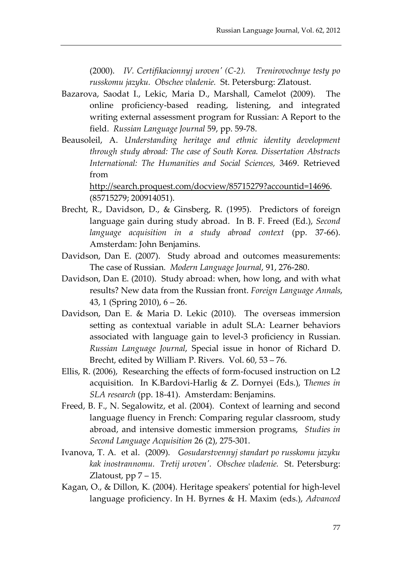(2000). *IV. Certifikacionnyj uroven' (C-2). Trenirovochnye testy po russkomu jazyku. Obschee vladenie.* St. Petersburg: Zlatoust.

- Bazarova, Saodat I., Lekic, Maria D., Marshall, Camelot (2009). The online proficiency-based reading, listening, and integrated writing external assessment program for Russian: A Report to the field. *Russian Language Journal* 59, pp. 59-78.
- Beausoleil, A. *Understanding heritage and ethnic identity development through study abroad: The case of South Korea. Dissertation Abstracts International: The Humanities and Social Sciences,* 3469. Retrieved from

[http://search.proquest.com/docview/85715279?accountid=14696.](http://search.proquest.com/docview/85715279?accountid=14696) (85715279; 200914051).

- Brecht, R., Davidson, D., & Ginsberg, R. (1995). Predictors of foreign language gain during study abroad. In B. F. Freed (Ed.), *Second language acquisition in a study abroad context* (pp. 37-66). Amsterdam: John Benjamins.
- Davidson, Dan E. (2007). Study abroad and outcomes measurements: The case of Russian*. Modern Language Journal*, 91, 276-280.
- Davidson, Dan E. (2010). Study abroad: when, how long, and with what results? New data from the Russian front. *Foreign Language Annals*, 43, 1 (Spring 2010), 6 – 26.
- Davidson, Dan E. & Maria D. Lekic (2010). The overseas immersion setting as contextual variable in adult SLA: Learner behaviors associated with language gain to level-3 proficiency in Russian. *Russian Language Journal*, Special issue in honor of Richard D. Brecht, edited by William P. Rivers. Vol. 60, 53 – 76.
- Ellis, R. (2006), Researching the effects of form-focused instruction on L2 acquisition. In K.Bardovi-Harlig & Z. Dornyei (Eds.), T*hemes in SLA research* (pp. 18-41). Amsterdam: Benjamins.
- Freed, B. F., N. Segalowitz, et al. (2004). Context of learning and second language fluency in French: Comparing regular classroom, study abroad, and intensive domestic immersion programs, *Studies in Second Language Acquisition* 26 (2), 275-301.
- Ivanova, T. A. et al. (2009). *Gosudarstvennyj standart po russkomu jazyku kak inostrannomu. Tretij uroven'. Obschee vladenie.* St. Petersburg: Zlatoust,  $pp 7 - 15$ .
- Kagan, O., & Dillon, K. (2004). Heritage speakers' potential for high-level language proficiency. In H. Byrnes & H. Maxim (eds.), *Advanced*